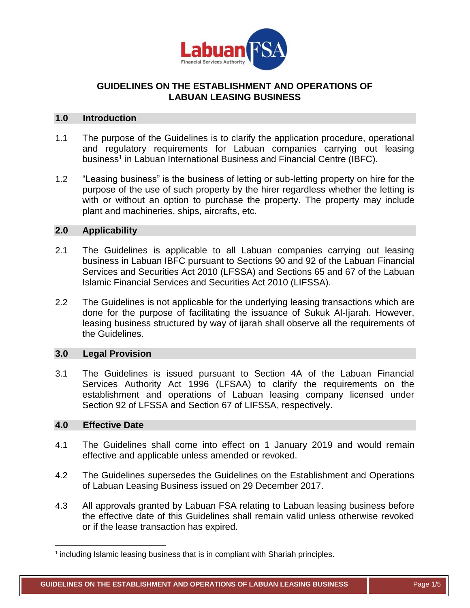

# **GUIDELINES ON THE ESTABLISHMENT AND OPERATIONS OF LABUAN LEASING BUSINESS**

## **1.0 Introduction**

- 1.1 The purpose of the Guidelines is to clarify the application procedure, operational and regulatory requirements for Labuan companies carrying out leasing business<sup>1</sup> in Labuan International Business and Financial Centre (IBFC).
- 1.2 "Leasing business" is the business of letting or sub-letting property on hire for the purpose of the use of such property by the hirer regardless whether the letting is with or without an option to purchase the property. The property may include plant and machineries, ships, aircrafts, etc.

#### **2.0 Applicability**

- 2.1 The Guidelines is applicable to all Labuan companies carrying out leasing business in Labuan IBFC pursuant to Sections 90 and 92 of the Labuan Financial Services and Securities Act 2010 (LFSSA) and Sections 65 and 67 of the Labuan Islamic Financial Services and Securities Act 2010 (LIFSSA).
- 2.2 The Guidelines is not applicable for the underlying leasing transactions which are done for the purpose of facilitating the issuance of Sukuk Al-Ijarah. However, leasing business structured by way of ijarah shall observe all the requirements of the Guidelines.

## **3.0 Legal Provision**

3.1 The Guidelines is issued pursuant to Section 4A of the Labuan Financial Services Authority Act 1996 (LFSAA) to clarify the requirements on the establishment and operations of Labuan leasing company licensed under Section 92 of LFSSA and Section 67 of LIFSSA, respectively.

#### **4.0 Effective Date**

 $\overline{\phantom{a}}$ 

- 4.1 The Guidelines shall come into effect on 1 January 2019 and would remain effective and applicable unless amended or revoked.
- 4.2 The Guidelines supersedes the Guidelines on the Establishment and Operations of Labuan Leasing Business issued on 29 December 2017.
- 4.3 All approvals granted by Labuan FSA relating to Labuan leasing business before the effective date of this Guidelines shall remain valid unless otherwise revoked or if the lease transaction has expired.

<sup>&</sup>lt;sup>1</sup> including Islamic leasing business that is in compliant with Shariah principles.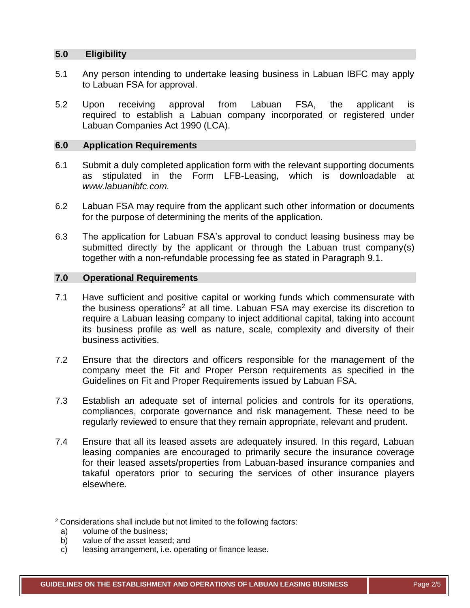# **5.0 Eligibility**

- 5.1 Any person intending to undertake leasing business in Labuan IBFC may apply to Labuan FSA for approval.
- 5.2 Upon receiving approval from Labuan FSA, the applicant is required to establish a Labuan company incorporated or registered under Labuan Companies Act 1990 (LCA).

## **6.0 Application Requirements**

- 6.1 Submit a duly completed application form with the relevant supporting documents as stipulated in the Form LFB-Leasing, which is downloadable at *[www.labuanibfc.com.](http://www.labuanibfc.com/)*
- 6.2 Labuan FSA may require from the applicant such other information or documents for the purpose of determining the merits of the application.
- 6.3 The application for Labuan FSA's approval to conduct leasing business may be submitted directly by the applicant or through the Labuan trust company(s) together with a non-refundable processing fee as stated in Paragraph 9.1.

## **7.0 Operational Requirements**

- 7.1 Have sufficient and positive capital or working funds which commensurate with the business operations<sup>2</sup> at all time. Labuan FSA may exercise its discretion to require a Labuan leasing company to inject additional capital, taking into account its business profile as well as nature, scale, complexity and diversity of their business activities.
- 7.2 Ensure that the directors and officers responsible for the management of the company meet the Fit and Proper Person requirements as specified in the Guidelines on Fit and Proper Requirements issued by Labuan FSA.
- 7.3 Establish an adequate set of internal policies and controls for its operations, compliances, corporate governance and risk management. These need to be regularly reviewed to ensure that they remain appropriate, relevant and prudent.
- 7.4 Ensure that all its leased assets are adequately insured. In this regard, Labuan leasing companies are encouraged to primarily secure the insurance coverage for their leased assets/properties from Labuan-based insurance companies and takaful operators prior to securing the services of other insurance players elsewhere.

 $\overline{\phantom{a}}$ 

<sup>2</sup> Considerations shall include but not limited to the following factors:

a) volume of the business;<br>b) value of the asset leased

value of the asset leased; and

c) leasing arrangement, i.e. operating or finance lease.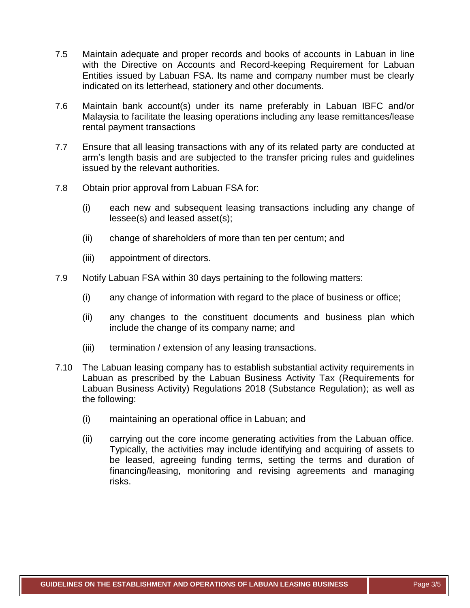- 7.5 Maintain adequate and proper records and books of accounts in Labuan in line with the Directive on Accounts and Record-keeping Requirement for Labuan Entities issued by Labuan FSA. Its name and company number must be clearly indicated on its letterhead, stationery and other documents.
- 7.6 Maintain bank account(s) under its name preferably in Labuan IBFC and/or Malaysia to facilitate the leasing operations including any lease remittances/lease rental payment transactions
- 7.7 Ensure that all leasing transactions with any of its related party are conducted at arm's length basis and are subjected to the transfer pricing rules and guidelines issued by the relevant authorities.
- 7.8 Obtain prior approval from Labuan FSA for:
	- (i) each new and subsequent leasing transactions including any change of lessee(s) and leased asset(s);
	- (ii) change of shareholders of more than ten per centum; and
	- (iii) appointment of directors.
- 7.9 Notify Labuan FSA within 30 days pertaining to the following matters:
	- (i) any change of information with regard to the place of business or office;
	- (ii) any changes to the constituent documents and business plan which include the change of its company name; and
	- (iii) termination / extension of any leasing transactions.
- 7.10 The Labuan leasing company has to establish substantial activity requirements in Labuan as prescribed by the Labuan Business Activity Tax (Requirements for Labuan Business Activity) Regulations 2018 (Substance Regulation); as well as the following:
	- (i) maintaining an operational office in Labuan; and
	- (ii) carrying out the core income generating activities from the Labuan office. Typically, the activities may include identifying and acquiring of assets to be leased, agreeing funding terms, setting the terms and duration of financing/leasing, monitoring and revising agreements and managing risks.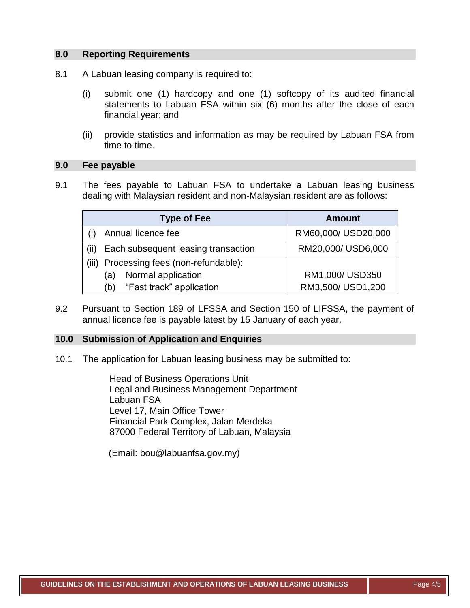#### **8.0 Reporting Requirements**

- 8.1 A Labuan leasing company is required to:
	- (i) submit one (1) hardcopy and one (1) softcopy of its audited financial statements to Labuan FSA within six (6) months after the close of each financial year; and
	- (ii) provide statistics and information as may be required by Labuan FSA from time to time.

#### **9.0 Fee payable**

9.1 The fees payable to Labuan FSA to undertake a Labuan leasing business dealing with Malaysian resident and non-Malaysian resident are as follows:

|       | <b>Type of Fee</b>                  | <b>Amount</b>       |
|-------|-------------------------------------|---------------------|
|       | Annual licence fee                  | RM60,000/ USD20,000 |
| (ii)  | Each subsequent leasing transaction | RM20,000/ USD6,000  |
| (iii) | Processing fees (non-refundable):   |                     |
|       | Normal application<br>(a)           | RM1,000/USD350      |
|       | "Fast track" application<br>(b)     | RM3,500/USD1,200    |

9.2 Pursuant to Section 189 of LFSSA and Section 150 of LIFSSA, the payment of annual licence fee is payable latest by 15 January of each year.

# **10.0 Submission of Application and Enquiries**

10.1 The application for Labuan leasing business may be submitted to:

Head of Business Operations Unit Legal and Business Management Department Labuan FSA Level 17, Main Office Tower Financial Park Complex, Jalan Merdeka 87000 Federal Territory of Labuan, Malaysia

(Email: [bou@labuanfsa.gov.my\)](mailto:bou@labuanfsa.gov.my)